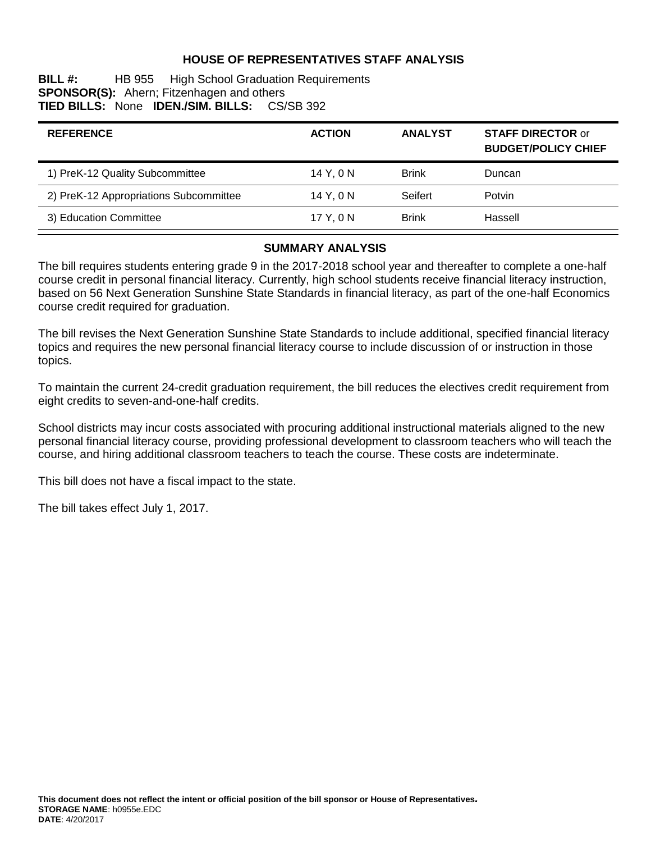#### **HOUSE OF REPRESENTATIVES STAFF ANALYSIS**

**BILL #:** HB 955 High School Graduation Requirements **SPONSOR(S):** Ahern; Fitzenhagen and others **TIED BILLS:** None **IDEN./SIM. BILLS:** CS/SB 392

| <b>ACTION</b> | <b>ANALYST</b> | <b>STAFF DIRECTOR or</b><br><b>BUDGET/POLICY CHIEF</b> |
|---------------|----------------|--------------------------------------------------------|
| 14 Y.ON       | <b>Brink</b>   | Duncan                                                 |
| 14 Y, 0 N     | Seifert        | Potvin                                                 |
| 17 Y.ON       | <b>Brink</b>   | Hassell                                                |
|               |                |                                                        |

# **SUMMARY ANALYSIS**

The bill requires students entering grade 9 in the 2017-2018 school year and thereafter to complete a one-half course credit in personal financial literacy. Currently, high school students receive financial literacy instruction, based on 56 Next Generation Sunshine State Standards in financial literacy, as part of the one-half Economics course credit required for graduation.

The bill revises the Next Generation Sunshine State Standards to include additional, specified financial literacy topics and requires the new personal financial literacy course to include discussion of or instruction in those topics.

To maintain the current 24-credit graduation requirement, the bill reduces the electives credit requirement from eight credits to seven-and-one-half credits.

School districts may incur costs associated with procuring additional instructional materials aligned to the new personal financial literacy course, providing professional development to classroom teachers who will teach the course, and hiring additional classroom teachers to teach the course. These costs are indeterminate.

This bill does not have a fiscal impact to the state.

The bill takes effect July 1, 2017.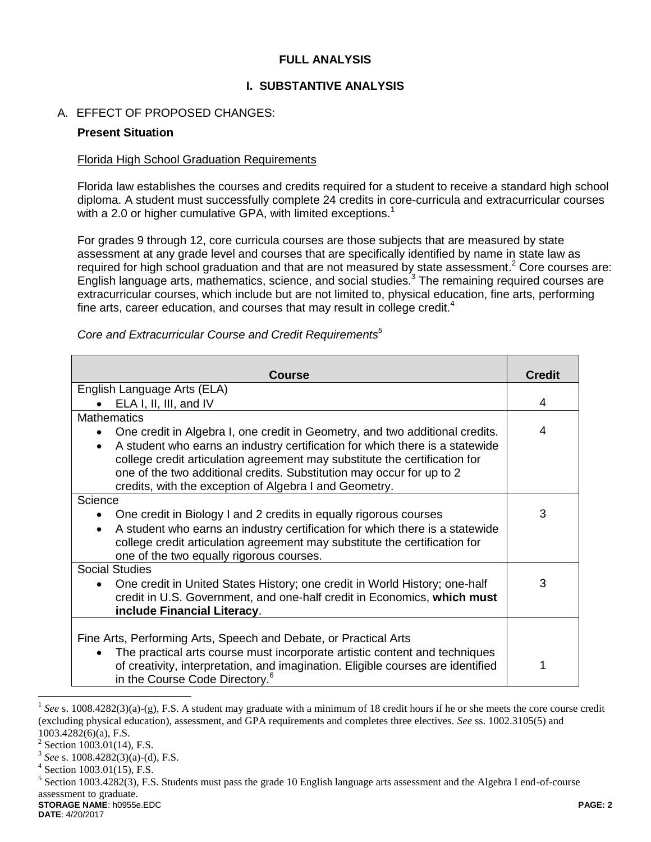### **FULL ANALYSIS**

### **I. SUBSTANTIVE ANALYSIS**

### A. EFFECT OF PROPOSED CHANGES:

#### **Present Situation**

#### Florida High School Graduation Requirements

Florida law establishes the courses and credits required for a student to receive a standard high school diploma. A student must successfully complete 24 credits in core-curricula and extracurricular courses with a 2.0 or higher cumulative GPA, with limited exceptions.<sup>1</sup>

For grades 9 through 12, core curricula courses are those subjects that are measured by state assessment at any grade level and courses that are specifically identified by name in state law as required for high school graduation and that are not measured by state assessment.<sup>2</sup> Core courses are: English language arts, mathematics, science, and social studies.<sup>3</sup> The remaining required courses are extracurricular courses, which include but are not limited to, physical education, fine arts, performing fine arts, career education, and courses that may result in college credit.<sup>4</sup>

| Course                                                                                                                                                                                                                                                                                                     | <b>Credit</b> |  |
|------------------------------------------------------------------------------------------------------------------------------------------------------------------------------------------------------------------------------------------------------------------------------------------------------------|---------------|--|
| English Language Arts (ELA)                                                                                                                                                                                                                                                                                |               |  |
| ELA I, II, III, and IV                                                                                                                                                                                                                                                                                     | 4             |  |
| <b>Mathematics</b>                                                                                                                                                                                                                                                                                         |               |  |
| One credit in Algebra I, one credit in Geometry, and two additional credits.<br>$\bullet$                                                                                                                                                                                                                  | 4             |  |
| A student who earns an industry certification for which there is a statewide<br>$\bullet$<br>college credit articulation agreement may substitute the certification for<br>one of the two additional credits. Substitution may occur for up to 2<br>credits, with the exception of Algebra I and Geometry. |               |  |
| Science                                                                                                                                                                                                                                                                                                    |               |  |
| One credit in Biology I and 2 credits in equally rigorous courses                                                                                                                                                                                                                                          | 3             |  |
| A student who earns an industry certification for which there is a statewide<br>$\bullet$<br>college credit articulation agreement may substitute the certification for<br>one of the two equally rigorous courses.                                                                                        |               |  |
| <b>Social Studies</b>                                                                                                                                                                                                                                                                                      |               |  |
| One credit in United States History; one credit in World History; one-half<br>$\bullet$<br>credit in U.S. Government, and one-half credit in Economics, which must<br>include Financial Literacy.                                                                                                          | 3             |  |
|                                                                                                                                                                                                                                                                                                            |               |  |
| Fine Arts, Performing Arts, Speech and Debate, or Practical Arts                                                                                                                                                                                                                                           |               |  |
| The practical arts course must incorporate artistic content and techniques<br>$\bullet$<br>of creativity, interpretation, and imagination. Eligible courses are identified<br>in the Course Code Directory. <sup>6</sup>                                                                                   |               |  |

*Core and Extracurricular Course and Credit Requirements<sup>5</sup>*

 $\overline{a}$ 

<sup>&</sup>lt;sup>1</sup> See s. 1008.4282(3)(a)-(g), F.S. A student may graduate with a minimum of 18 credit hours if he or she meets the core course credit (excluding physical education), assessment, and GPA requirements and completes three electives. *See* ss. 1002.3105(5) and 1003.4282(6)(a), F.S.

 $2$  Section 1003.01(14), F.S.

<sup>3</sup> *See* s. 1008.4282(3)(a)-(d), F.S.

<sup>4</sup> Section 1003.01(15), F.S.

**STORAGE NAME**: h0955e.EDC **PAGE: 2**  $<sup>5</sup>$  Section 1003.4282(3), F.S. Students must pass the grade 10 English language arts assessment and the Algebra I end-of-course</sup> assessment to graduate.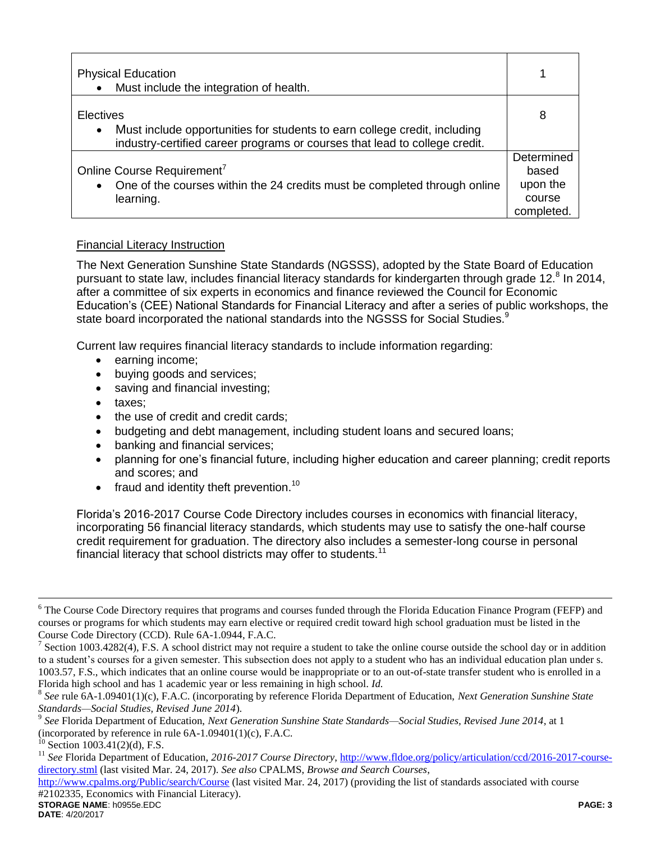| <b>Physical Education</b><br>Must include the integration of health.                                                                                                              |                                                         |
|-----------------------------------------------------------------------------------------------------------------------------------------------------------------------------------|---------------------------------------------------------|
| Electives<br>Must include opportunities for students to earn college credit, including<br>$\bullet$<br>industry-certified career programs or courses that lead to college credit. | 8                                                       |
| Online Course Requirement <sup>7</sup><br>One of the courses within the 24 credits must be completed through online<br>$\bullet$<br>learning.                                     | Determined<br>based<br>upon the<br>course<br>completed. |

## Financial Literacy Instruction

The Next Generation Sunshine State Standards (NGSSS), adopted by the State Board of Education pursuant to state law, includes financial literacy standards for kindergarten through grade 12.<sup>8</sup> In 2014, after a committee of six experts in economics and finance reviewed the Council for Economic Education's (CEE) National Standards for Financial Literacy and after a series of public workshops, the state board incorporated the national standards into the NGSSS for Social Studies.<sup>9</sup>

Current law requires financial literacy standards to include information regarding:

- earning income;
- buying goods and services;
- saving and financial investing;
- taxes:
- the use of credit and credit cards;
- budgeting and debt management, including student loans and secured loans;
- banking and financial services;
- planning for one's financial future, including higher education and career planning; credit reports and scores; and
- $\bullet$  fraud and identity theft prevention.<sup>10</sup>

Florida's 2016-2017 Course Code Directory includes courses in economics with financial literacy, incorporating 56 financial literacy standards, which students may use to satisfy the one-half course credit requirement for graduation. The directory also includes a semester-long course in personal financial literacy that school districts may offer to students.<sup>11</sup>

**STORAGE NAME**: h0955e.EDC **PAGE: 3** <http://www.cpalms.org/Public/search/Course> (last visited Mar. 24, 2017) (providing the list of standards associated with course #2102335, Economics with Financial Literacy).

 $\overline{a}$ 

<sup>&</sup>lt;sup>6</sup> The Course Code Directory requires that programs and courses funded through the Florida Education Finance Program (FEFP) and courses or programs for which students may earn elective or required credit toward high school graduation must be listed in the Course Code Directory (CCD). Rule 6A-1.0944, F.A.C.

<sup>7</sup> Section 1003.4282(4), F.S. A school district may not require a student to take the online course outside the school day or in addition to a student's courses for a given semester. This subsection does not apply to a student who has an individual education plan under s. 1003.57, F.S., which indicates that an online course would be inappropriate or to an out-of-state transfer student who is enrolled in a Florida high school and has 1 academic year or less remaining in high school. *Id.*

<sup>8</sup> *See* rule 6A-1.09401(1)(c), F.A.C. (incorporating by reference Florida Department of Education, *Next Generation Sunshine State Standards—Social Studies, Revised June 2014*).

<sup>9</sup> *See* Florida Department of Education, *Next Generation Sunshine State Standards—Social Studies, Revised June 2014*, at 1 (incorporated by reference in rule  $6A-1.09401(1)(c)$ , F.A.C.

 $^{10}$  Section 1003.41(2)(d), F.S.

<sup>&</sup>lt;sup>11</sup> See Florida Department of Education, 2016-2017 Course Directory, [http://www.fldoe.org/policy/articulation/ccd/2016-2017-course](http://www.fldoe.org/policy/articulation/ccd/2016-2017-course-directory.stml)[directory.stml](http://www.fldoe.org/policy/articulation/ccd/2016-2017-course-directory.stml) (last visited Mar. 24, 2017). *See also* CPALMS, *Browse and Search Courses*,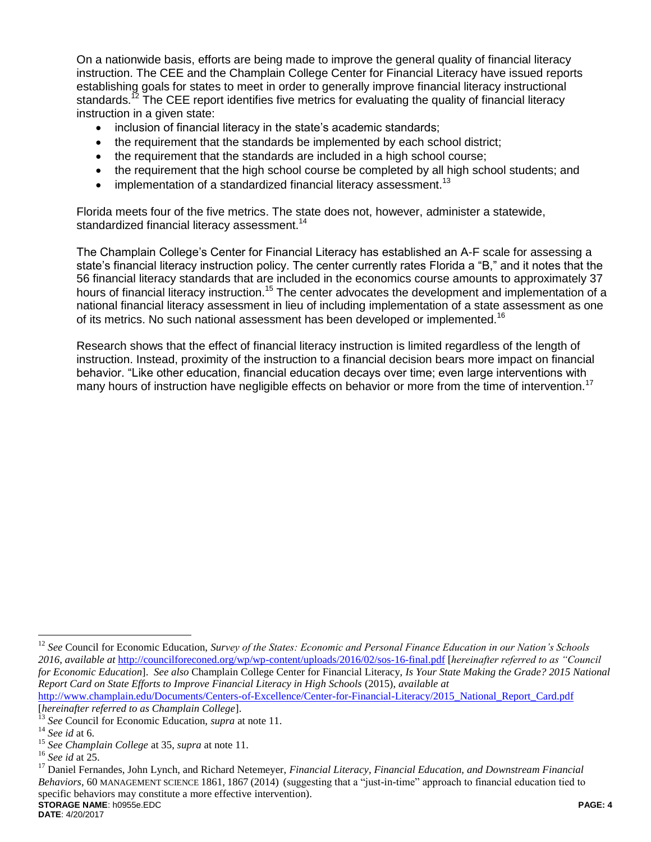On a nationwide basis, efforts are being made to improve the general quality of financial literacy instruction. The CEE and the Champlain College Center for Financial Literacy have issued reports establishing goals for states to meet in order to generally improve financial literacy instructional standards.<sup>12</sup> The CEE report identifies five metrics for evaluating the quality of financial literacy instruction in a given state:

- inclusion of financial literacy in the state's academic standards;
- the requirement that the standards be implemented by each school district;
- the requirement that the standards are included in a high school course;
- the requirement that the high school course be completed by all high school students; and
- $\bullet$  implementation of a standardized financial literacy assessment.<sup>13</sup>

Florida meets four of the five metrics. The state does not, however, administer a statewide, standardized financial literacy assessment.<sup>14</sup>

The Champlain College's Center for Financial Literacy has established an A-F scale for assessing a state's financial literacy instruction policy. The center currently rates Florida a "B," and it notes that the 56 financial literacy standards that are included in the economics course amounts to approximately 37 hours of financial literacy instruction.<sup>15</sup> The center advocates the development and implementation of a national financial literacy assessment in lieu of including implementation of a state assessment as one of its metrics. No such national assessment has been developed or implemented.<sup>16</sup>

Research shows that the effect of financial literacy instruction is limited regardless of the length of instruction. Instead, proximity of the instruction to a financial decision bears more impact on financial behavior. "Like other education, financial education decays over time; even large interventions with many hours of instruction have negligible effects on behavior or more from the time of intervention.<sup>17</sup>

 $\overline{a}$ 

<sup>&</sup>lt;sup>12</sup> See Council for Economic Education, *Survey of the States: Economic and Personal Finance Education in our Nation's Schools 2016*, *available at* <http://councilforeconed.org/wp/wp-content/uploads/2016/02/sos-16-final.pdf> [*hereinafter referred to as "Council for Economic Education*]. *See also* Champlain College Center for Financial Literacy, *Is Your State Making the Grade? 2015 National Report Card on State Efforts to Improve Financial Literacy in High Schools* (2015), *available at*  [http://www.champlain.edu/Documents/Centers-of-Excellence/Center-for-Financial-Literacy/2015\\_National\\_Report\\_Card.pdf](http://www.champlain.edu/Documents/Centers-of-Excellence/Center-for-Financial-Literacy/2015_National_Report_Card.pdf)

<sup>[</sup>*hereinafter referred to as Champlain College*].

<sup>13</sup> *See* Council for Economic Education, *supra* at note 11.

<sup>14</sup> *See id* at 6.

<sup>15</sup> *See Champlain College* at 35, *supra* at note 11.

<sup>16</sup> *See id* at 25.

**STORAGE NAME**: h0955e.EDC **PAGE: 4** <sup>17</sup> Daniel Fernandes, John Lynch, and Richard Netemeyer, *Financial Literacy, Financial Education, and Downstream Financial Behaviors*, 60 MANAGEMENT SCIENCE 1861, 1867 (2014) (suggesting that a "just-in-time" approach to financial education tied to specific behaviors may constitute a more effective intervention).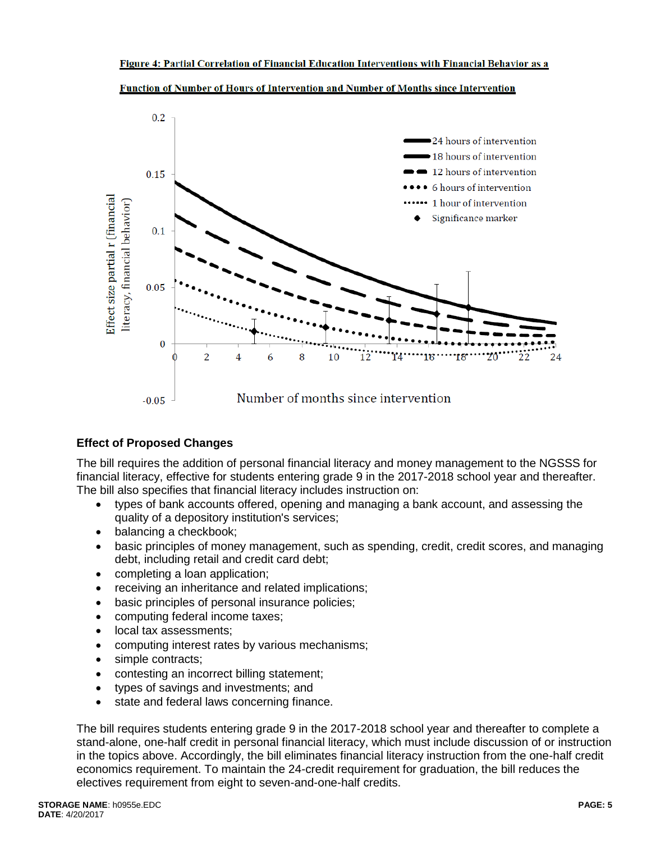

Function of Number of Hours of Intervention and Number of Months since Intervention

# **Effect of Proposed Changes**

The bill requires the addition of personal financial literacy and money management to the NGSSS for financial literacy, effective for students entering grade 9 in the 2017-2018 school year and thereafter. The bill also specifies that financial literacy includes instruction on:

- types of bank accounts offered, opening and managing a bank account, and assessing the quality of a depository institution's services;
- balancing a checkbook;
- basic principles of money management, such as spending, credit, credit scores, and managing debt, including retail and credit card debt;
- completing a loan application;
- receiving an inheritance and related implications;
- basic principles of personal insurance policies;
- computing federal income taxes;
- local tax assessments:
- computing interest rates by various mechanisms;
- simple contracts;
- contesting an incorrect billing statement;
- types of savings and investments; and
- state and federal laws concerning finance.

The bill requires students entering grade 9 in the 2017-2018 school year and thereafter to complete a stand-alone, one-half credit in personal financial literacy, which must include discussion of or instruction in the topics above. Accordingly, the bill eliminates financial literacy instruction from the one-half credit economics requirement. To maintain the 24-credit requirement for graduation, the bill reduces the electives requirement from eight to seven-and-one-half credits.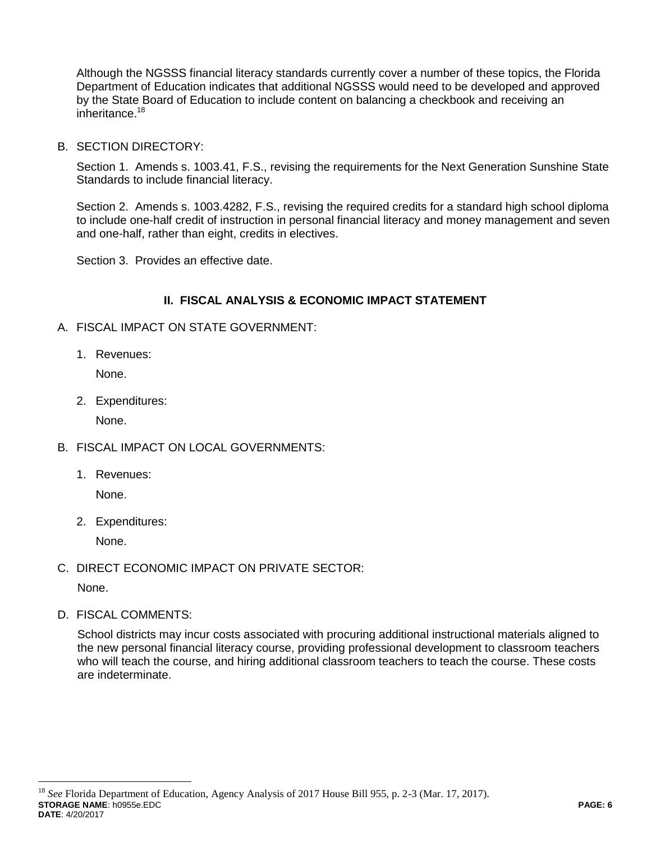Although the NGSSS financial literacy standards currently cover a number of these topics, the Florida Department of Education indicates that additional NGSSS would need to be developed and approved by the State Board of Education to include content on balancing a checkbook and receiving an inheritance.<sup>18</sup>

B. SECTION DIRECTORY:

Section 1. Amends s. 1003.41, F.S., revising the requirements for the Next Generation Sunshine State Standards to include financial literacy.

Section 2. Amends s. 1003.4282, F.S., revising the required credits for a standard high school diploma to include one-half credit of instruction in personal financial literacy and money management and seven and one-half, rather than eight, credits in electives.

Section 3. Provides an effective date.

## **II. FISCAL ANALYSIS & ECONOMIC IMPACT STATEMENT**

- A. FISCAL IMPACT ON STATE GOVERNMENT:
	- 1. Revenues:

None.

2. Expenditures:

None.

- B. FISCAL IMPACT ON LOCAL GOVERNMENTS:
	- 1. Revenues:

None.

2. Expenditures:

None.

C. DIRECT ECONOMIC IMPACT ON PRIVATE SECTOR:

None.

 $\overline{a}$ 

D. FISCAL COMMENTS:

School districts may incur costs associated with procuring additional instructional materials aligned to the new personal financial literacy course, providing professional development to classroom teachers who will teach the course, and hiring additional classroom teachers to teach the course. These costs are indeterminate.

**STORAGE NAME**: h0955e.EDC **PAGE: 6 DATE**: 4/20/2017 <sup>18</sup> *See* Florida Department of Education, Agency Analysis of 2017 House Bill 955, p. 2-3 (Mar. 17, 2017).